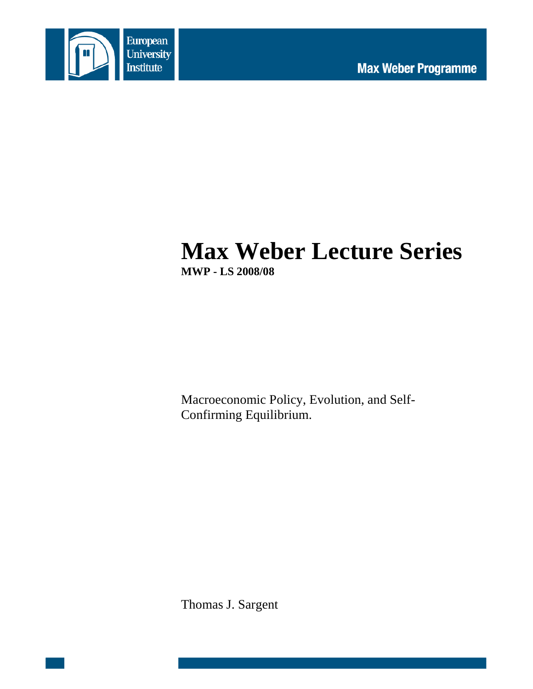

# **Max Weber Lecture Series MWP - LS 2008/08**

Macroeconomic Policy, Evolution, and Self-Confirming Equilibrium.

Thomas J. Sargent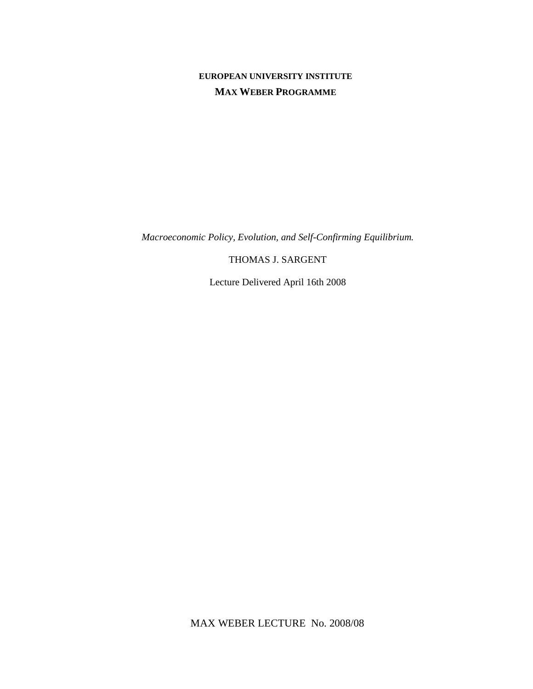#### **EUROPEAN UNIVERSITY INSTITUTE MAX WEBER PROGRAMME**

*Macroeconomic Policy, Evolution, and Self-Confirming Equilibrium.* 

THOMAS J. SARGENT

Lecture Delivered April 16th 2008

MAX WEBER LECTURE No. 2008/08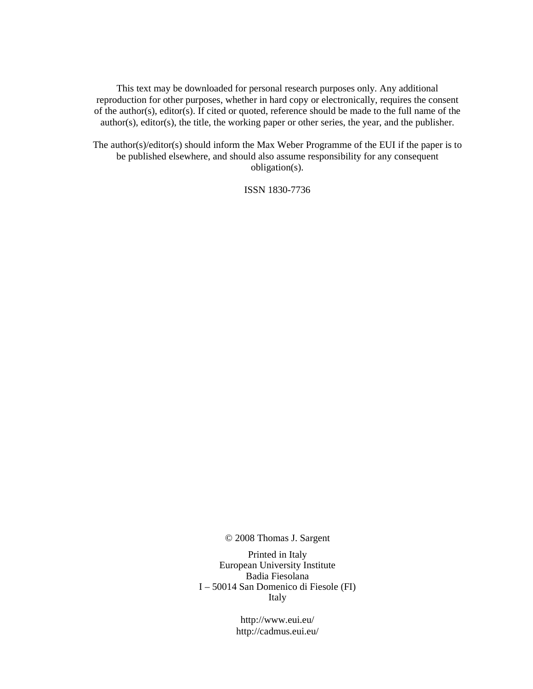This text may be downloaded for personal research purposes only. Any additional reproduction for other purposes, whether in hard copy or electronically, requires the consent of the author(s), editor(s). If cited or quoted, reference should be made to the full name of the author(s), editor(s), the title, the working paper or other series, the year, and the publisher.

The author(s)/editor(s) should inform the Max Weber Programme of the EUI if the paper is to be published elsewhere, and should also assume responsibility for any consequent obligation(s).

ISSN 1830-7736

© 2008 Thomas J. Sargent

Printed in Italy European University Institute Badia Fiesolana I – 50014 San Domenico di Fiesole (FI) Italy

> http://www.eui.eu/ http://cadmus.eui.eu/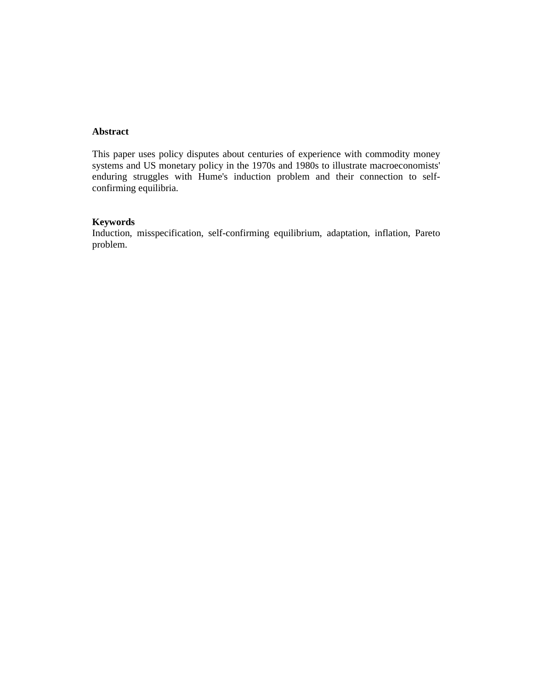#### **Abstract**

This paper uses policy disputes about centuries of experience with commodity money systems and US monetary policy in the 1970s and 1980s to illustrate macroeconomists' enduring struggles with Hume's induction problem and their connection to selfconfirming equilibria.

#### **Keywords**

Induction, misspecification, self-confirming equilibrium, adaptation, inflation, Pareto problem.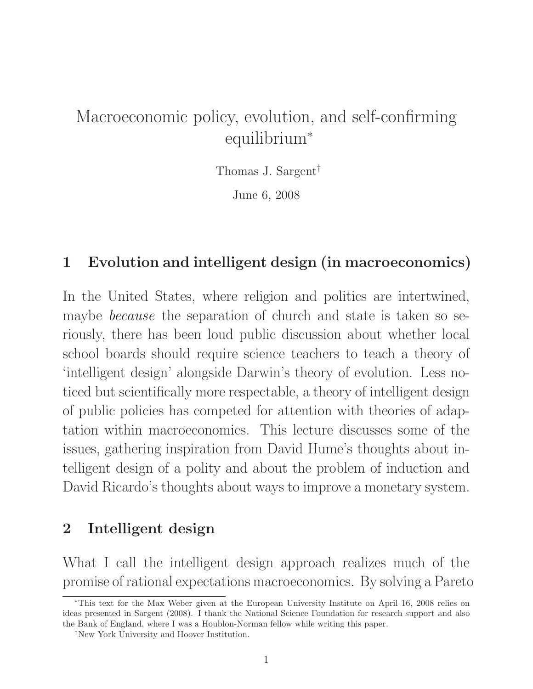# Macroeconomic policy, evolution, and self-confirming equilibrium<sup>∗</sup>

Thomas J. Sargent†

June 6, 2008

### 1 Evolution and intelligent design (in macroeconomics)

In the United States, where religion and politics are intertwined, maybe *because* the separation of church and state is taken so seriously, there has been loud public discussion about whether local school boards should require science teachers to teach a theory of 'intelligent design' alongside Darwin's theory of evolution. Less noticed but scientifically more respectable, a theory of intelligent design of public policies has competed for attention with theories of adaptation within macroeconomics. This lecture discusses some of the issues, gathering inspiration from David Hume's thoughts about intelligent design of a polity and about the problem of induction and David Ricardo's thoughts about ways to improve a monetary system.

## 2 Intelligent design

What I call the intelligent design approach realizes much of the promise of rational expectations macroeconomics. By solving a Pareto

<sup>∗</sup>This text for the Max Weber given at the European University Institute on April 16, 2008 relies on ideas presented in Sargent (2008). I thank the National Science Foundation for research support and also the Bank of England, where I was a Houblon-Norman fellow while writing this paper.

<sup>†</sup>New York University and Hoover Institution.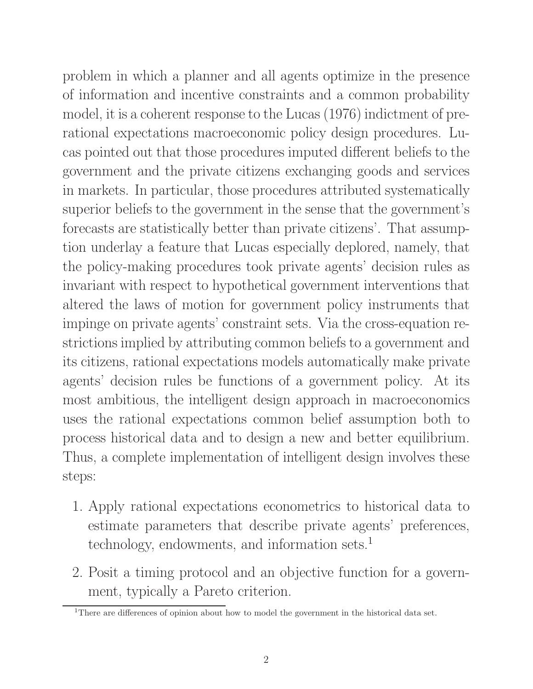problem in which a planner and all agents optimize in the presence of information and incentive constraints and a common probability model, it is a coherent response to the Lucas (1976) indictment of prerational expectations macroeconomic policy design procedures. Lucas pointed out that those procedures imputed different beliefs to the government and the private citizens exchanging goods and services in markets. In particular, those procedures attributed systematically superior beliefs to the government in the sense that the government's forecasts are statistically better than private citizens'. That assumption underlay a feature that Lucas especially deplored, namely, that the policy-making procedures took private agents' decision rules as invariant with respect to hypothetical government interventions that altered the laws of motion for government policy instruments that impinge on private agents' constraint sets. Via the cross-equation restrictions implied by attributing common beliefs to a government and its citizens, rational expectations models automatically make private agents' decision rules be functions of a government policy. At its most ambitious, the intelligent design approach in macroeconomics uses the rational expectations common belief assumption both to process historical data and to design a new and better equilibrium. Thus, a complete implementation of intelligent design involves these steps:

- 1. Apply rational expectations econometrics to historical data to estimate parameters that describe private agents' preferences, technology, endowments, and information sets.<sup>1</sup>
- 2. Posit a timing protocol and an objective function for a government, typically a Pareto criterion.

<sup>&</sup>lt;sup>1</sup>There are differences of opinion about how to model the government in the historical data set.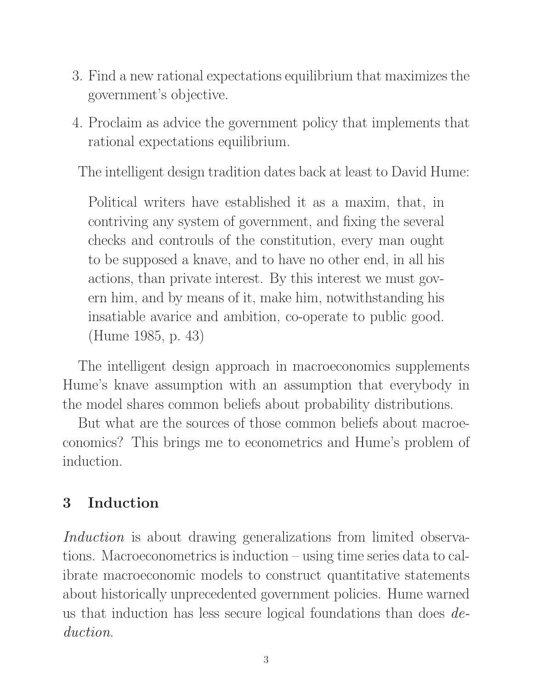- 3. Find a new rational expectations equilibrium that maximizes the government's objective.
- 4. Proclaim as advice the government policy that implements that rational expectations equilibrium.

The intelligent design tradition dates back at least to David Hume:

Political writers have established it as a maxim, that, in contriving any system of government, and fixing the several checks and controuls of the constitution, every man ought to be supposed a knave, and to have no other end, in all his actions, than private interest. By this interest we must govern him, and by means of it, make him, notwithstanding his insatiable avarice and ambition, co-operate to public good. (Hume 1985, p. 43)

The intelligent design approach in macroeconomics supplements Hume's knave assumption with an assumption that everybody in the model shares common beliefs about probability distributions.

But what are the sources of those common beliefs about macroeconomics? This brings me to econometrics and Hume's problem of induction.

# 3 Induction

Induction is about drawing generalizations from limited observations. Macroeconometrics is induction – using time series data to calibrate macroeconomic models to construct quantitative statements about historically unprecedented government policies. Hume warned us that induction has less secure logical foundations than does deduction.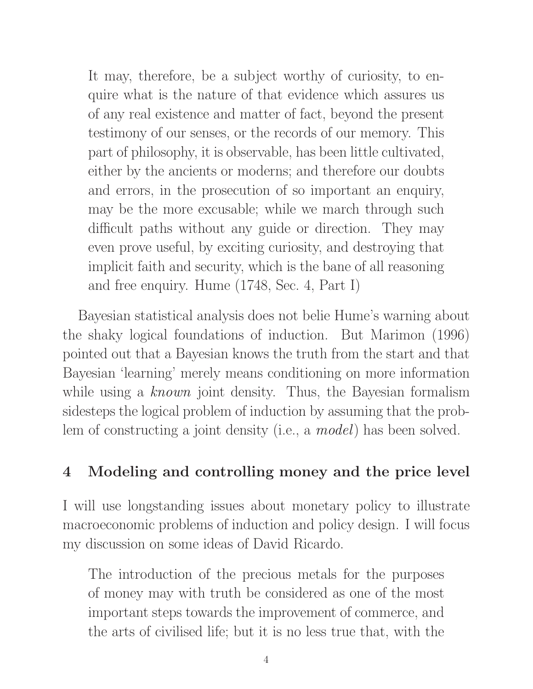It may, therefore, be a subject worthy of curiosity, to enquire what is the nature of that evidence which assures us of any real existence and matter of fact, beyond the present testimony of our senses, or the records of our memory. This part of philosophy, it is observable, has been little cultivated, either by the ancients or moderns; and therefore our doubts and errors, in the prosecution of so important an enquiry, may be the more excusable; while we march through such difficult paths without any guide or direction. They may even prove useful, by exciting curiosity, and destroying that implicit faith and security, which is the bane of all reasoning and free enquiry. Hume (1748, Sec. 4, Part I)

Bayesian statistical analysis does not belie Hume's warning about the shaky logical foundations of induction. But Marimon (1996) pointed out that a Bayesian knows the truth from the start and that Bayesian 'learning' merely means conditioning on more information while using a known joint density. Thus, the Bayesian formalism sidesteps the logical problem of induction by assuming that the problem of constructing a joint density (i.e., a *model*) has been solved.

# 4 Modeling and controlling money and the price level

I will use longstanding issues about monetary policy to illustrate macroeconomic problems of induction and policy design. I will focus my discussion on some ideas of David Ricardo.

The introduction of the precious metals for the purposes of money may with truth be considered as one of the most important steps towards the improvement of commerce, and the arts of civilised life; but it is no less true that, with the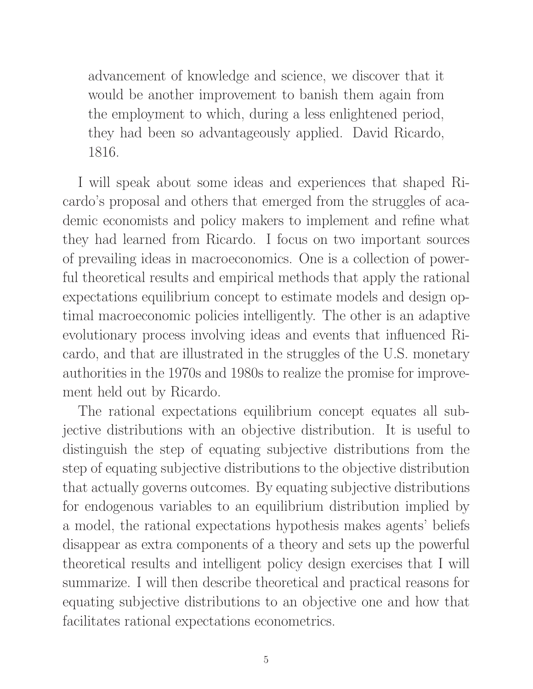advancement of knowledge and science, we discover that it would be another improvement to banish them again from the employment to which, during a less enlightened period, they had been so advantageously applied. David Ricardo, 1816.

I will speak about some ideas and experiences that shaped Ricardo's proposal and others that emerged from the struggles of academic economists and policy makers to implement and refine what they had learned from Ricardo. I focus on two important sources of prevailing ideas in macroeconomics. One is a collection of powerful theoretical results and empirical methods that apply the rational expectations equilibrium concept to estimate models and design optimal macroeconomic policies intelligently. The other is an adaptive evolutionary process involving ideas and events that influenced Ricardo, and that are illustrated in the struggles of the U.S. monetary authorities in the 1970s and 1980s to realize the promise for improvement held out by Ricardo.

The rational expectations equilibrium concept equates all subjective distributions with an objective distribution. It is useful to distinguish the step of equating subjective distributions from the step of equating subjective distributions to the objective distribution that actually governs outcomes. By equating subjective distributions for endogenous variables to an equilibrium distribution implied by a model, the rational expectations hypothesis makes agents' beliefs disappear as extra components of a theory and sets up the powerful theoretical results and intelligent policy design exercises that I will summarize. I will then describe theoretical and practical reasons for equating subjective distributions to an objective one and how that facilitates rational expectations econometrics.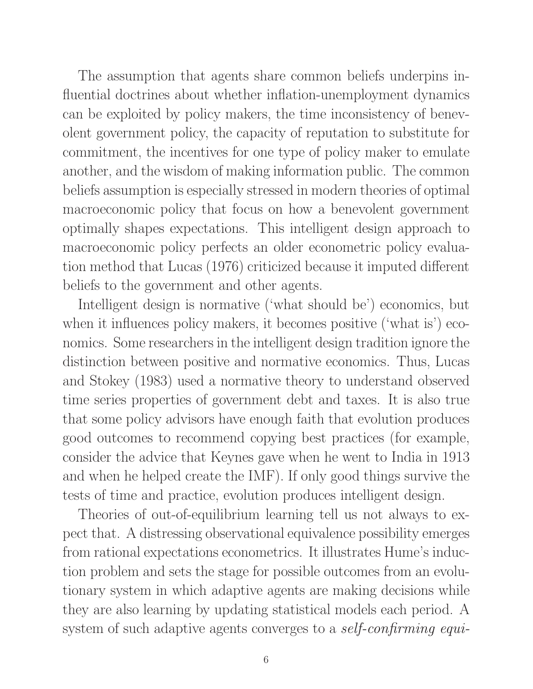The assumption that agents share common beliefs underpins influential doctrines about whether inflation-unemployment dynamics can be exploited by policy makers, the time inconsistency of benevolent government policy, the capacity of reputation to substitute for commitment, the incentives for one type of policy maker to emulate another, and the wisdom of making information public. The common beliefs assumption is especially stressed in modern theories of optimal macroeconomic policy that focus on how a benevolent government optimally shapes expectations. This intelligent design approach to macroeconomic policy perfects an older econometric policy evaluation method that Lucas (1976) criticized because it imputed different beliefs to the government and other agents.

Intelligent design is normative ('what should be') economics, but when it influences policy makers, it becomes positive ('what is') economics. Some researchers in the intelligent design tradition ignore the distinction between positive and normative economics. Thus, Lucas and Stokey (1983) used a normative theory to understand observed time series properties of government debt and taxes. It is also true that some policy advisors have enough faith that evolution produces good outcomes to recommend copying best practices (for example, consider the advice that Keynes gave when he went to India in 1913 and when he helped create the IMF). If only good things survive the tests of time and practice, evolution produces intelligent design.

Theories of out-of-equilibrium learning tell us not always to expect that. A distressing observational equivalence possibility emerges from rational expectations econometrics. It illustrates Hume's induction problem and sets the stage for possible outcomes from an evolutionary system in which adaptive agents are making decisions while they are also learning by updating statistical models each period. A system of such adaptive agents converges to a *self-confirming equi-*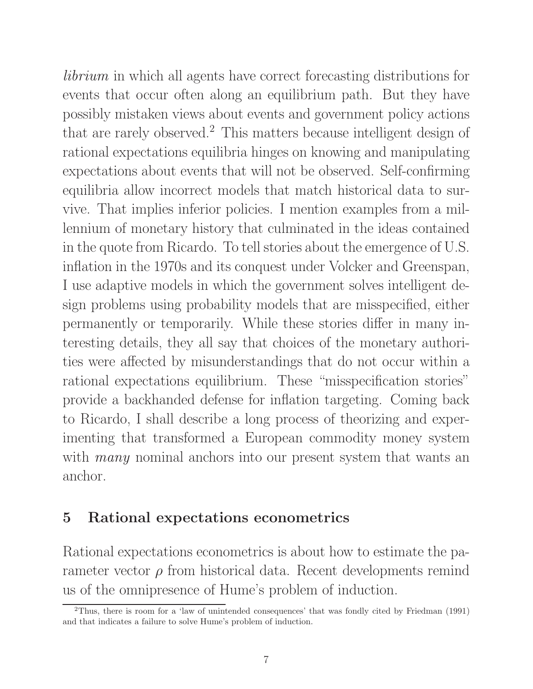librium in which all agents have correct forecasting distributions for events that occur often along an equilibrium path. But they have possibly mistaken views about events and government policy actions that are rarely observed.<sup>2</sup> This matters because intelligent design of rational expectations equilibria hinges on knowing and manipulating expectations about events that will not be observed. Self-confirming equilibria allow incorrect models that match historical data to survive. That implies inferior policies. I mention examples from a millennium of monetary history that culminated in the ideas contained in the quote from Ricardo. To tell stories about the emergence of U.S. inflation in the 1970s and its conquest under Volcker and Greenspan, I use adaptive models in which the government solves intelligent design problems using probability models that are misspecified, either permanently or temporarily. While these stories differ in many interesting details, they all say that choices of the monetary authorities were affected by misunderstandings that do not occur within a rational expectations equilibrium. These "misspecification stories" provide a backhanded defense for inflation targeting. Coming back to Ricardo, I shall describe a long process of theorizing and experimenting that transformed a European commodity money system with *many* nominal anchors into our present system that wants an anchor.

### 5 Rational expectations econometrics

Rational expectations econometrics is about how to estimate the parameter vector  $\rho$  from historical data. Recent developments remind us of the omnipresence of Hume's problem of induction.

<sup>2</sup>Thus, there is room for a 'law of unintended consequences' that was fondly cited by Friedman (1991) and that indicates a failure to solve Hume's problem of induction.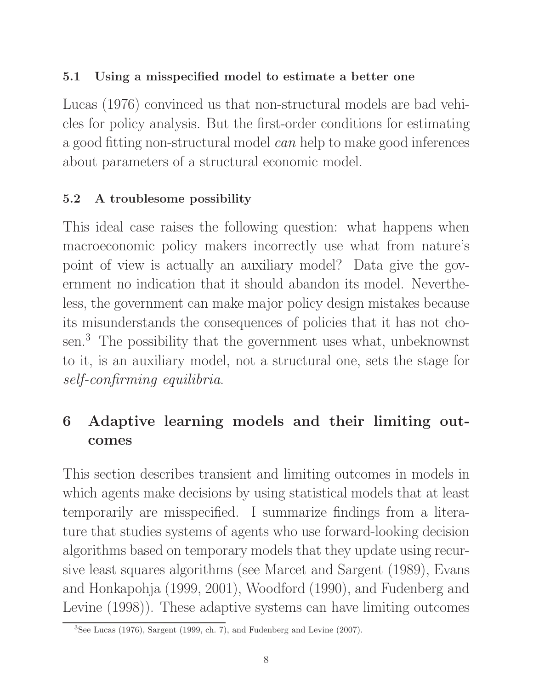### 5.1 Using a misspecified model to estimate a better one

Lucas (1976) convinced us that non-structural models are bad vehicles for policy analysis. But the first-order conditions for estimating a good fitting non-structural model can help to make good inferences about parameters of a structural economic model.

### 5.2 A troublesome possibility

This ideal case raises the following question: what happens when macroeconomic policy makers incorrectly use what from nature's point of view is actually an auxiliary model? Data give the government no indication that it should abandon its model. Nevertheless, the government can make major policy design mistakes because its misunderstands the consequences of policies that it has not chosen.<sup>3</sup> The possibility that the government uses what, unbeknownst to it, is an auxiliary model, not a structural one, sets the stage for self-confirming equilibria.

# 6 Adaptive learning models and their limiting outcomes

This section describes transient and limiting outcomes in models in which agents make decisions by using statistical models that at least temporarily are misspecified. I summarize findings from a literature that studies systems of agents who use forward-looking decision algorithms based on temporary models that they update using recursive least squares algorithms (see Marcet and Sargent (1989), Evans and Honkapohja (1999, 2001), Woodford (1990), and Fudenberg and Levine (1998)). These adaptive systems can have limiting outcomes

 $3$ See Lucas (1976), Sargent (1999, ch. 7), and Fudenberg and Levine (2007).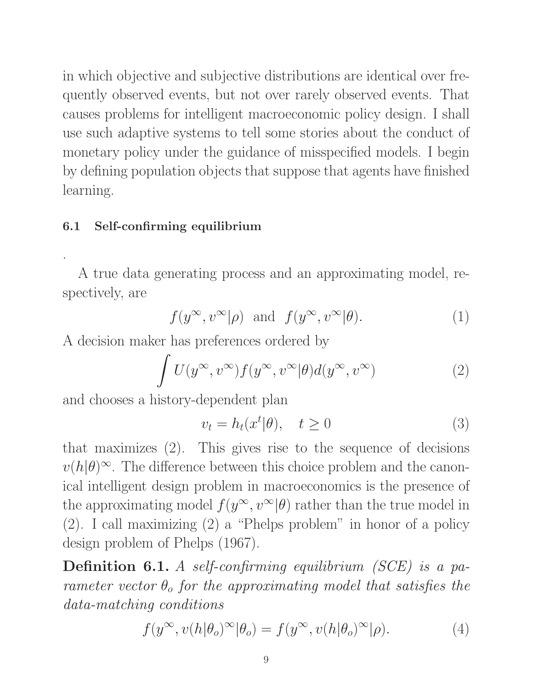in which objective and subjective distributions are identical over frequently observed events, but not over rarely observed events. That causes problems for intelligent macroeconomic policy design. I shall use such adaptive systems to tell some stories about the conduct of monetary policy under the guidance of misspecified models. I begin by defining population objects that suppose that agents have finished learning.

#### 6.1 Self-confirming equilibrium

.

A true data generating process and an approximating model, respectively, are

$$
f(y^{\infty}, v^{\infty}|\rho)
$$
 and  $f(y^{\infty}, v^{\infty}|\theta)$ . (1)

A decision maker has preferences ordered by

$$
\int U(y^{\infty}, v^{\infty}) f(y^{\infty}, v^{\infty} | \theta) d(y^{\infty}, v^{\infty})
$$
 (2)

and chooses a history-dependent plan

$$
v_t = h_t(x^t | \theta), \quad t \ge 0 \tag{3}
$$

that maximizes (2). This gives rise to the sequence of decisions  $v(h|\theta)^\infty$ . The difference between this choice problem and the canonical intelligent design problem in macroeconomics is the presence of the approximating model  $f(y^{\infty}, v^{\infty}|\theta)$  rather than the true model in (2). I call maximizing (2) a "Phelps problem" in honor of a policy design problem of Phelps (1967).

Definition 6.1. A self-confirming equilibrium (SCE) is a parameter vector  $\theta_o$  for the approximating model that satisfies the data-matching conditions

$$
f(y^{\infty}, v(h|\theta_o)^{\infty}|\theta_o) = f(y^{\infty}, v(h|\theta_o)^{\infty}|\rho).
$$
 (4)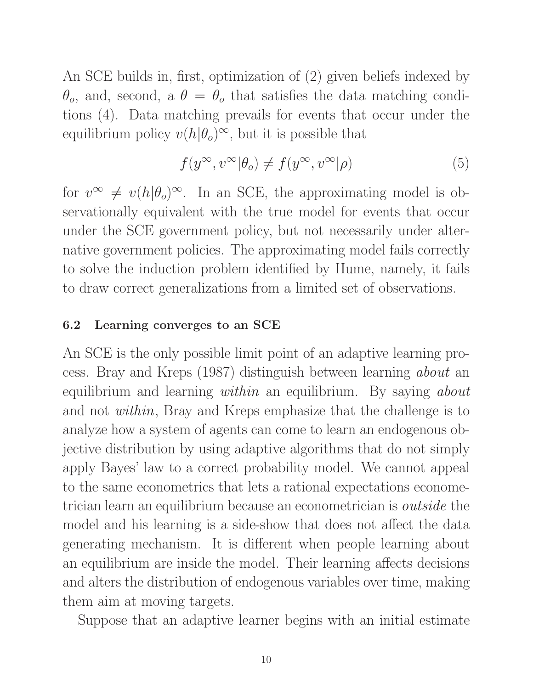An SCE builds in, first, optimization of (2) given beliefs indexed by  $\theta_o$ , and, second, a  $\theta = \theta_o$  that satisfies the data matching conditions (4). Data matching prevails for events that occur under the equilibrium policy  $v(h|\theta_o)^\infty$ , but it is possible that

$$
f(y^{\infty}, v^{\infty}|\theta_o) \neq f(y^{\infty}, v^{\infty}|\rho)
$$
 (5)

for  $v^{\infty} \neq v(h|\theta_o)^{\infty}$ . In an SCE, the approximating model is observationally equivalent with the true model for events that occur under the SCE government policy, but not necessarily under alternative government policies. The approximating model fails correctly to solve the induction problem identified by Hume, namely, it fails to draw correct generalizations from a limited set of observations.

#### 6.2 Learning converges to an SCE

An SCE is the only possible limit point of an adaptive learning process. Bray and Kreps (1987) distinguish between learning about an equilibrium and learning *within* an equilibrium. By saying *about* and not within, Bray and Kreps emphasize that the challenge is to analyze how a system of agents can come to learn an endogenous objective distribution by using adaptive algorithms that do not simply apply Bayes' law to a correct probability model. We cannot appeal to the same econometrics that lets a rational expectations econometrician learn an equilibrium because an econometrician is outside the model and his learning is a side-show that does not affect the data generating mechanism. It is different when people learning about an equilibrium are inside the model. Their learning affects decisions and alters the distribution of endogenous variables over time, making them aim at moving targets.

Suppose that an adaptive learner begins with an initial estimate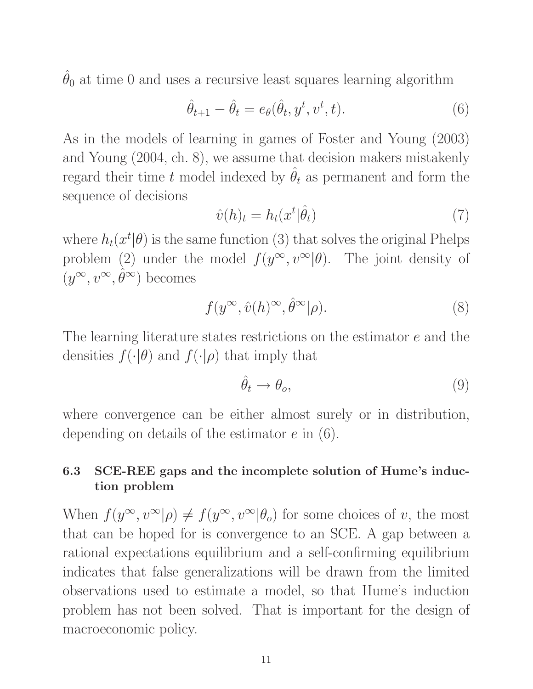$\hat{\theta}_0$  at time 0 and uses a recursive least squares learning algorithm

$$
\hat{\theta}_{t+1} - \hat{\theta}_t = e_{\theta}(\hat{\theta}_t, y^t, v^t, t). \tag{6}
$$

As in the models of learning in games of Foster and Young (2003) and Young (2004, ch. 8), we assume that decision makers mistakenly regard their time t model indexed by  $\hat{\theta}_t$  as permanent and form the sequence of decisions

$$
\hat{v}(h)_t = h_t(x^t | \hat{\theta}_t) \tag{7}
$$

where  $h_t(x^t | \theta)$  is the same function (3) that solves the original Phelps problem (2) under the model  $f(y^{\infty}, v^{\infty}|\theta)$ . The joint density of  $(y^{\infty}, v^{\infty}, \hat{\theta}^{\infty})$  becomes

$$
f(y^{\infty}, \hat{v}(h)^{\infty}, \hat{\theta}^{\infty}|\rho). \tag{8}
$$

The learning literature states restrictions on the estimator e and the densities  $f(\cdot|\theta)$  and  $f(\cdot|\rho)$  that imply that

$$
\hat{\theta}_t \to \theta_o,\tag{9}
$$

where convergence can be either almost surely or in distribution, depending on details of the estimator e in (6).

### 6.3 SCE-REE gaps and the incomplete solution of Hume's induction problem

When  $f(y^{\infty}, v^{\infty}|\rho) \neq f(y^{\infty}, v^{\infty}|\theta_o)$  for some choices of v, the most that can be hoped for is convergence to an SCE. A gap between a rational expectations equilibrium and a self-confirming equilibrium indicates that false generalizations will be drawn from the limited observations used to estimate a model, so that Hume's induction problem has not been solved. That is important for the design of macroeconomic policy.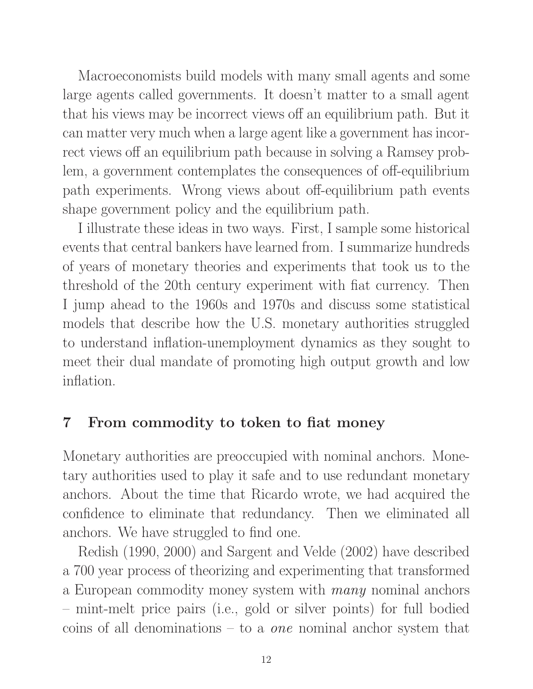Macroeconomists build models with many small agents and some large agents called governments. It doesn't matter to a small agent that his views may be incorrect views off an equilibrium path. But it can matter very much when a large agent like a government has incorrect views off an equilibrium path because in solving a Ramsey problem, a government contemplates the consequences of off-equilibrium path experiments. Wrong views about off-equilibrium path events shape government policy and the equilibrium path.

I illustrate these ideas in two ways. First, I sample some historical events that central bankers have learned from. I summarize hundreds of years of monetary theories and experiments that took us to the threshold of the 20th century experiment with fiat currency. Then I jump ahead to the 1960s and 1970s and discuss some statistical models that describe how the U.S. monetary authorities struggled to understand inflation-unemployment dynamics as they sought to meet their dual mandate of promoting high output growth and low inflation.

## 7 From commodity to token to fiat money

Monetary authorities are preoccupied with nominal anchors. Monetary authorities used to play it safe and to use redundant monetary anchors. About the time that Ricardo wrote, we had acquired the confidence to eliminate that redundancy. Then we eliminated all anchors. We have struggled to find one.

Redish (1990, 2000) and Sargent and Velde (2002) have described a 700 year process of theorizing and experimenting that transformed a European commodity money system with many nominal anchors – mint-melt price pairs (i.e., gold or silver points) for full bodied coins of all denominations – to a *one* nominal anchor system that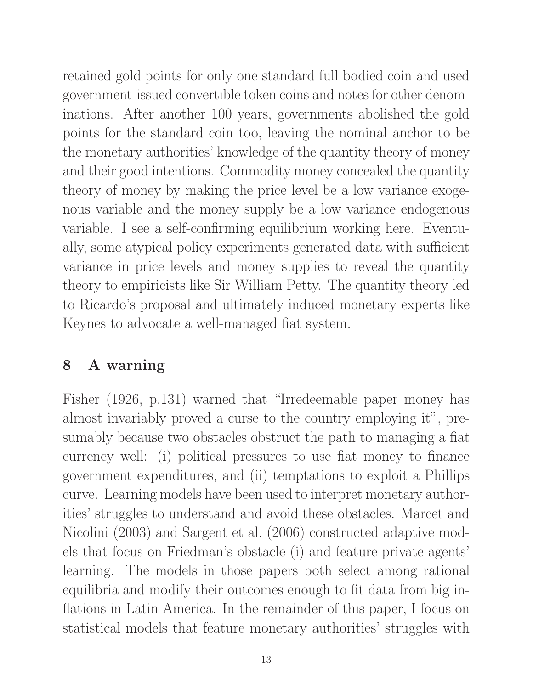retained gold points for only one standard full bodied coin and used government-issued convertible token coins and notes for other denominations. After another 100 years, governments abolished the gold points for the standard coin too, leaving the nominal anchor to be the monetary authorities' knowledge of the quantity theory of money and their good intentions. Commodity money concealed the quantity theory of money by making the price level be a low variance exogenous variable and the money supply be a low variance endogenous variable. I see a self-confirming equilibrium working here. Eventually, some atypical policy experiments generated data with sufficient variance in price levels and money supplies to reveal the quantity theory to empiricists like Sir William Petty. The quantity theory led to Ricardo's proposal and ultimately induced monetary experts like Keynes to advocate a well-managed fiat system.

# 8 A warning

Fisher (1926, p.131) warned that "Irredeemable paper money has almost invariably proved a curse to the country employing it", presumably because two obstacles obstruct the path to managing a fiat currency well: (i) political pressures to use fiat money to finance government expenditures, and (ii) temptations to exploit a Phillips curve. Learning models have been used to interpret monetary authorities' struggles to understand and avoid these obstacles. Marcet and Nicolini (2003) and Sargent et al. (2006) constructed adaptive models that focus on Friedman's obstacle (i) and feature private agents' learning. The models in those papers both select among rational equilibria and modify their outcomes enough to fit data from big inflations in Latin America. In the remainder of this paper, I focus on statistical models that feature monetary authorities' struggles with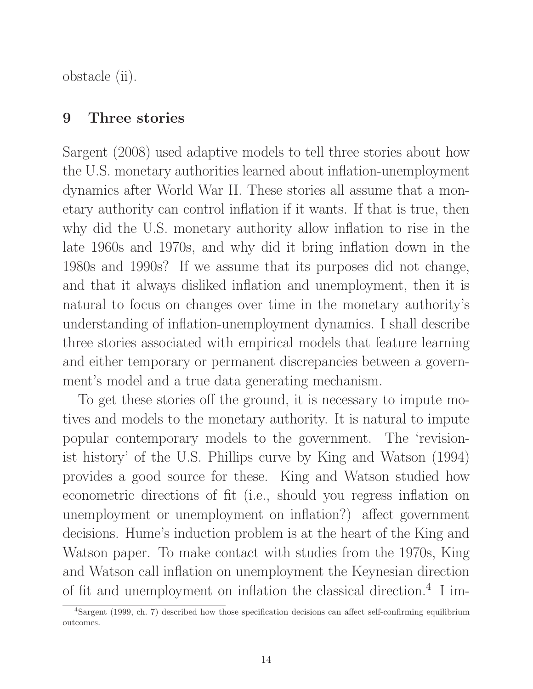obstacle (ii).

### 9 Three stories

Sargent (2008) used adaptive models to tell three stories about how the U.S. monetary authorities learned about inflation-unemployment dynamics after World War II. These stories all assume that a monetary authority can control inflation if it wants. If that is true, then why did the U.S. monetary authority allow inflation to rise in the late 1960s and 1970s, and why did it bring inflation down in the 1980s and 1990s? If we assume that its purposes did not change, and that it always disliked inflation and unemployment, then it is natural to focus on changes over time in the monetary authority's understanding of inflation-unemployment dynamics. I shall describe three stories associated with empirical models that feature learning and either temporary or permanent discrepancies between a government's model and a true data generating mechanism.

To get these stories off the ground, it is necessary to impute motives and models to the monetary authority. It is natural to impute popular contemporary models to the government. The 'revisionist history' of the U.S. Phillips curve by King and Watson (1994) provides a good source for these. King and Watson studied how econometric directions of fit (i.e., should you regress inflation on unemployment or unemployment on inflation?) affect government decisions. Hume's induction problem is at the heart of the King and Watson paper. To make contact with studies from the 1970s, King and Watson call inflation on unemployment the Keynesian direction of fit and unemployment on inflation the classical direction.<sup>4</sup> I im-

<sup>4</sup>Sargent (1999, ch. 7) described how those specification decisions can affect self-confirming equilibrium outcomes.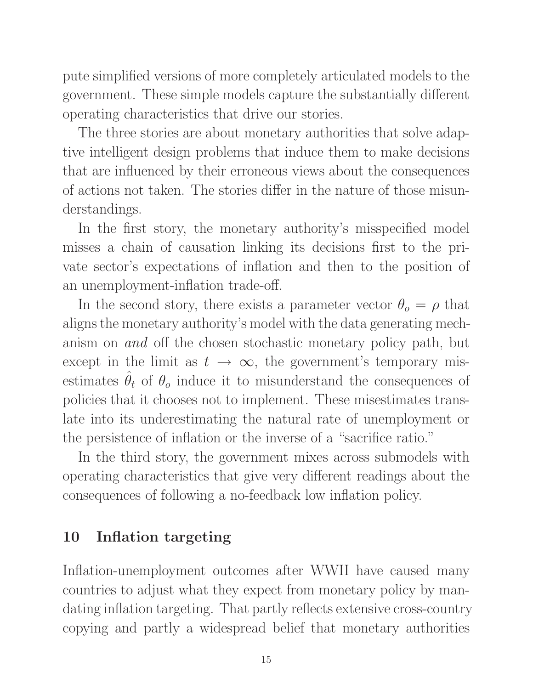pute simplified versions of more completely articulated models to the government. These simple models capture the substantially different operating characteristics that drive our stories.

The three stories are about monetary authorities that solve adaptive intelligent design problems that induce them to make decisions that are influenced by their erroneous views about the consequences of actions not taken. The stories differ in the nature of those misunderstandings.

In the first story, the monetary authority's misspecified model misses a chain of causation linking its decisions first to the private sector's expectations of inflation and then to the position of an unemployment-inflation trade-off.

In the second story, there exists a parameter vector  $\theta_{o} = \rho$  that aligns the monetary authority's model with the data generating mechanism on and off the chosen stochastic monetary policy path, but except in the limit as  $t \to \infty$ , the government's temporary misestimates  $\hat{\theta}_t$  of  $\theta_o$  induce it to misunderstand the consequences of policies that it chooses not to implement. These misestimates translate into its underestimating the natural rate of unemployment or the persistence of inflation or the inverse of a "sacrifice ratio."

In the third story, the government mixes across submodels with operating characteristics that give very different readings about the consequences of following a no-feedback low inflation policy.

## 10 Inflation targeting

Inflation-unemployment outcomes after WWII have caused many countries to adjust what they expect from monetary policy by mandating inflation targeting. That partly reflects extensive cross-country copying and partly a widespread belief that monetary authorities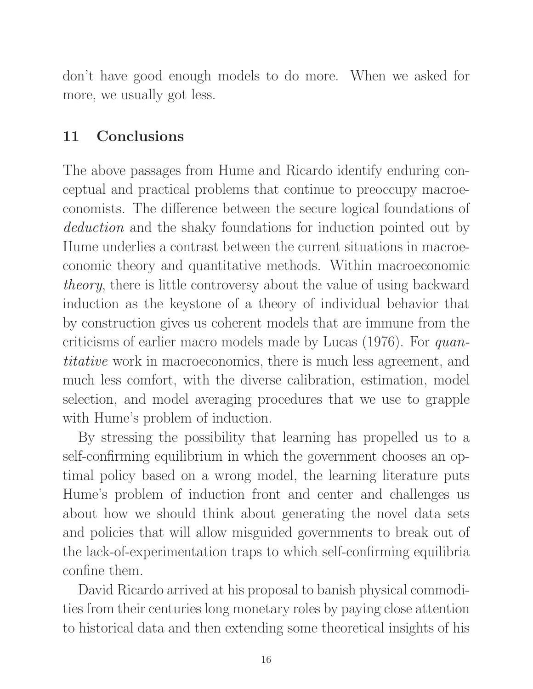don't have good enough models to do more. When we asked for more, we usually got less.

### 11 Conclusions

The above passages from Hume and Ricardo identify enduring conceptual and practical problems that continue to preoccupy macroeconomists. The difference between the secure logical foundations of deduction and the shaky foundations for induction pointed out by Hume underlies a contrast between the current situations in macroeconomic theory and quantitative methods. Within macroeconomic theory, there is little controversy about the value of using backward induction as the keystone of a theory of individual behavior that by construction gives us coherent models that are immune from the criticisms of earlier macro models made by Lucas (1976). For quantitative work in macroeconomics, there is much less agreement, and much less comfort, with the diverse calibration, estimation, model selection, and model averaging procedures that we use to grapple with Hume's problem of induction.

By stressing the possibility that learning has propelled us to a self-confirming equilibrium in which the government chooses an optimal policy based on a wrong model, the learning literature puts Hume's problem of induction front and center and challenges us about how we should think about generating the novel data sets and policies that will allow misguided governments to break out of the lack-of-experimentation traps to which self-confirming equilibria confine them.

David Ricardo arrived at his proposal to banish physical commodities from their centuries long monetary roles by paying close attention to historical data and then extending some theoretical insights of his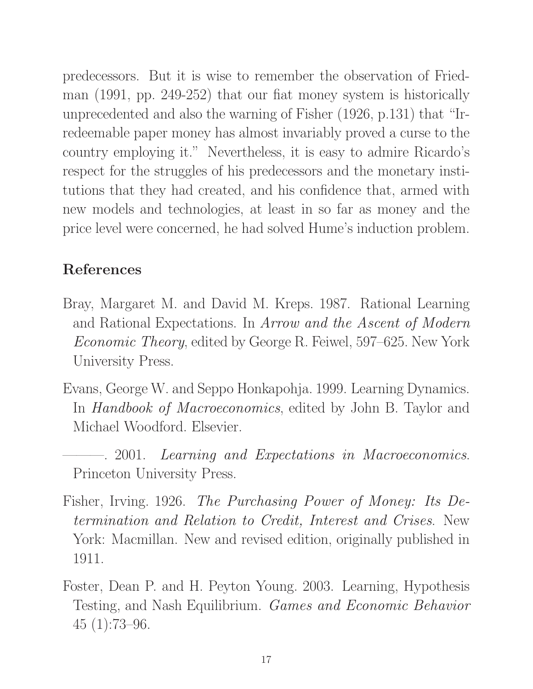predecessors. But it is wise to remember the observation of Friedman (1991, pp. 249-252) that our fiat money system is historically unprecedented and also the warning of Fisher (1926, p.131) that "Irredeemable paper money has almost invariably proved a curse to the country employing it." Nevertheless, it is easy to admire Ricardo's respect for the struggles of his predecessors and the monetary institutions that they had created, and his confidence that, armed with new models and technologies, at least in so far as money and the price level were concerned, he had solved Hume's induction problem.

# References

- Bray, Margaret M. and David M. Kreps. 1987. Rational Learning and Rational Expectations. In Arrow and the Ascent of Modern Economic Theory, edited by George R. Feiwel, 597–625. New York University Press.
- Evans, George W. and Seppo Honkapohja. 1999. Learning Dynamics. In Handbook of Macroeconomics, edited by John B. Taylor and Michael Woodford. Elsevier.
- $-$ . 2001. Learning and Expectations in Macroeconomics. Princeton University Press.
- Fisher, Irving. 1926. The Purchasing Power of Money: Its Determination and Relation to Credit, Interest and Crises. New York: Macmillan. New and revised edition, originally published in 1911.
- Foster, Dean P. and H. Peyton Young. 2003. Learning, Hypothesis Testing, and Nash Equilibrium. Games and Economic Behavior 45 (1):73–96.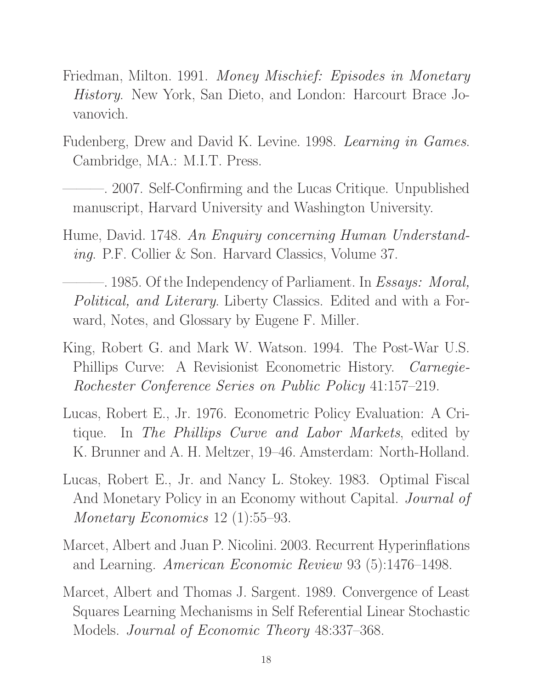- Friedman, Milton. 1991. Money Mischief: Episodes in Monetary History. New York, San Dieto, and London: Harcourt Brace Jovanovich.
- Fudenberg, Drew and David K. Levine. 1998. Learning in Games. Cambridge, MA.: M.I.T. Press.
- 2007. Self-Confirming and the Lucas Critique. Unpublished manuscript, Harvard University and Washington University.
- Hume, David. 1748. An Enquiry concerning Human Understanding. P.F. Collier & Son. Harvard Classics, Volume 37.
- -. 1985. Of the Independency of Parliament. In *Essays: Moral*, Political, and Literary. Liberty Classics. Edited and with a Forward, Notes, and Glossary by Eugene F. Miller.
- King, Robert G. and Mark W. Watson. 1994. The Post-War U.S. Phillips Curve: A Revisionist Econometric History. Carnegie-Rochester Conference Series on Public Policy 41:157–219.
- Lucas, Robert E., Jr. 1976. Econometric Policy Evaluation: A Critique. In The Phillips Curve and Labor Markets, edited by K. Brunner and A. H. Meltzer, 19–46. Amsterdam: North-Holland.
- Lucas, Robert E., Jr. and Nancy L. Stokey. 1983. Optimal Fiscal And Monetary Policy in an Economy without Capital. Journal of Monetary Economics 12 (1):55–93.
- Marcet, Albert and Juan P. Nicolini. 2003. Recurrent Hyperinflations and Learning. American Economic Review 93 (5):1476–1498.
- Marcet, Albert and Thomas J. Sargent. 1989. Convergence of Least Squares Learning Mechanisms in Self Referential Linear Stochastic Models. Journal of Economic Theory 48:337–368.